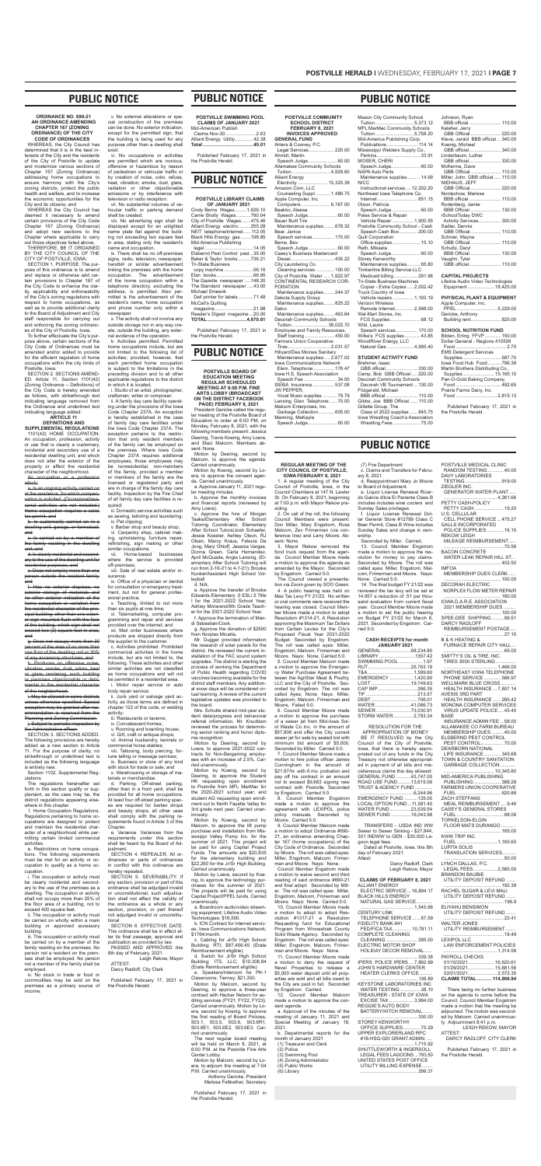#### **ORDINANCE NO. 690-21 AN ORDINANCE AMENDING CHAPTER 167 (ZONING ORDINANCE) OF THE CITY CODE OF ORDINANCES**

WHEREAS, the City Council has determined that it is in the best interests of the City and the residents of the City of Postville to update and modernize various sections of Chapter 167 (Zoning Ordinance) addressing home occupations to ensure harmony with the City's zoning districts, protect the public health and welfare, and to increase the economic opportunities for the City and its citizens; and

WHEREAS the City Council has deemed it necessary to amend certain provisions of the City Code Chapter 167 (Zoning Ordinance) and adopt new sections to the Chapter where applicable to carry out those objectives listed above. THEREFORE, BE IT ORDAINED

BY THE CITY COUNCIL OF THE CITY OF POSTVILLE, IOWA:

#### An occupation or a profeswhich:

SECTION 1. PURPOSE. The purpose of this ordinance is to amend and replace or otherwise add certain provisions to Chapter 167 of the City Code to enhance the clarity, applicability and enforceability of the City's zoning regulations with respect to home occupations, as well as to provide additional clarity to the Board of Adjustment and City staff responsible for carrying out and enforcing the zoning ordinances of the City of Postville, Iowa.

the family residing in the dwelling unit, and d. Is clearly incidental and second-

ary to the use of the dwelling unit for dential purposes, and

To further effectuate the City's purpose above, certain sections of the City Code of Ordinances must be amended and/or added to provide for the efficient regulation of home occupations within the city limits of Postville, Iowa.

<del>cipal building, other than one exter</del>i or sign mounted flush with the face of the building, which sign shall not exceed two (2) square feet in area, and

g. Does not occupy more than 30 percent of the area of no more than .<br><del>one floor of the dwelling unit or 30%</del> of any accessory structures, and

h. Produces no offensive noise vibration, smoke, dust, odors, heat or glare rendering such building or premises objectionable or detri mental to the residential character of the neighborhood.

i. May be allowed in some districts unless otherwise specified. Special exception may be granted after recommendation is received from the Planning and Zoning Commission. **j.** Subject to periodic inspection by Administrative officer

SECTION 2. SECTIONS AMEND-ED. Article 11, Section 1101(42) (Zoning Ordinance – Definitions) of the City Code is hereby amended as follows, with strikethrough text indicating language removed from the Ordinance and underlined text indicating language added:

#### **ARTICLE 11**

**DEFINITIONS AND SUPPLEMENTAL REGULATIONS**

SECTION 3. SECTIONS ADDED. The following provisions are hereby added as a new section to Article 11. For the purpose of clarity, no strikethrough or underlined text is included as the following language is entirely new.

1101(42) HOME OCCUPATION: An occupation, profession, activity or use that is clearly a customary, incidental and secondary use of a residential dwelling unit, and which does not alter the exterior of the property or affect the residential character of the neighborhood.

a. Is an ongoing activity carried on at the residence, for which compensation is solicited. (Occasional/seasonal activities are not included.) Home occupation requires a sales tax permit, and

b. Is customarily carried on in a dwelling unit, garage, or farmstead, and c. Is carried on by a member of

e. Does not employ more than one person outside the resident family, and

f. Has no exterior displace, no exterior storage of materials and no other exterior indication of the home occupation or variation from the residential character of the prin-

Section 1102. Supplemental Regulations

The regulations hereinafter set forth in this section qualify or supplement, as the case may be, the district regulations appearing elsewhere in this chapter.

x. Teaching, limited to not more than six pupils at one time;

Telemarketing, computer pro gramming and repair and services provided over the internet; and

1. Home Occupation Regulations. Regulations pertaining to home occupations are designed to protect and maintain the residential character of a neighborhood while permitting certain limited commercial activities.

Junk yard or salvage yard activity, as those terms are defined in chapter 122 of this code, or welding activity;

a. Restrictions on home occupations. The following requirements must be met for an activity or occupation to qualify as a home occupation.

i. The occupation or activity must be clearly incidental and secondary to the use of the premises as a dwelling. The occupation or activity shall not occupy more than 25% of the floor area of a building, not to exceed 400 square feet.

e. Variance. Variances from the requirements under this section shall be heard by the Board of Adjustment.

ii. The occupation or activity must be carried on wholly within a main building or approved accessory building.

SECTION 4. REPEALER. All ordinances or parts of ordinances in conflict with this ordinance are hereby repealed.

iii. The occupation or activity must be carried on by a member of the family residing on the premises. No person not a resident on the premises shall be employed. No person not a member of the family shall be employed.

iv. No stock in trade or food or commodities may be sold on the premises as a primary source of income.

v. No external alterations or special construction of the premises can be done. No exterior indication, except for the permitted sign, that the building is being used for any purpose other than a dwelling shall exist.

> President Gericke called the regular meeting of the Postville Board of Education to order at 6:00 PM, on Monday, February 8, 2021, with the following members present: Jessica Deering, Travis Koenig, Amy Loera, and Staci Malcom. Members absent: None.

vi. No occupations or activities are permitted which are noxious, offensive or hazardous by reason of pedestrian or vehicular traffic or by creation of noise, odor, refuse, heat, vibration, smoke, dust, glare, radiation or other objectionable emissions or by interference with television or radio reception.

vii. No substantial volumes of vehicular traffic or parking demand shall be created.

viii. No advertising sign shall be displayed except for an unlighted name plate flat against the building not exceeding two square feet in area, stating only the resident's name and occupation.

> Mr. Dugger provided information the research of solar panels for the district. He reviewed the current installation of the FAC sound system upgrades. The district is starting the process of working the Department of Public Health regarding COVID vaccines becoming available for the district staff members. Any additional snow days will be considered virtual learning. A review of the current legislative updates was provided to the board.

ix. There shall be no off-premises signs, radio, television, newspaner handbill or similar advertisement linking the premises with the home occupation. The advertisement of the home occupation within a telephone directory, excluding the address, is permitted. Also permitted is the advertisement of the resident's name, home occupation and phone number only within a newspaper.

x. The activity shall not involve any outside storage nor in any way create, outside the building, any external evidence of the operation.

b. Activities permitted. Permitted home occupations include, but are not limited to the following list of activities; provided, however, that each permitted home occupation is subject to the limitations in the preceding division and to all other applicable regulations to the district in which it is located. i. Studio of an artist, photographer,

craftsman, writer or composer; ii. A family day care facility operat-

ing under the provisions of the Iowa Code Chapter 237A. An exception is hereby established in the case of family day care facilities under the Iowa Code Chapter 237A. The exception pertains to the restriction that only resident members of the family can be employed on the premises. Where Iowa Code Chapter 237A requires additional employees, those employees may be nonresidential, non-members of the family, provided a member or members of the family are the licensed or registered party and are in charge of the family day care facility. Inspection by the Fire Chief of all family day care facilities is required; iii. Domestic service activities such

> sent: None. 3. Mayor Rekow removed the food truck request from the agenda. Council Member Moore made a motion to approve the agenda as amended by the Mayor. Seconded by Engstrom. Carried 5:0.

as sewing, tailoring and laundering; iv. Pet clipping;

v. Barber shop and beauty shop; vi. Carpentry shop, cabinet making, upholstering, furniture repair, refinishing, sign making or other similar occupations;

vii. Home-based businesses where the service is provided off-premises;

viii. Sale of real estate and/or insurance;

ix. Office of a physician or dentist for consultation or emergency treatment, but not for general professional practice;

> 8. Council Member Engstrom made a motion to approve the agreement with LEXIPOL police policy manuals. Seconded by Moore. Carried 5:0.

xii. Mail order businesses where products are shipped directly from the supplier to the customer.

c. Activities prohibited. Prohibited commercial activities in the home include, but are not limited to, the following. These activities and other similar activities are not classified as home occupations and will not be permitted in a residential area. i. Motor repair service or auto body repair service;

> 11. Council Member Moore made a motion to deny the request of Nevel Properties to release a \$5,000 water deposit until all properties are sold and all bills owed to the City are paid in full. Seconded by Engstrom. Carried.

- iii. Restaurants or taverns;
- iv. Convalescent homes;
- v. Rooming and boarding house; vi. Gift, craft or antique shops;

vii. Animal husbandry, kennels or commercial horse stables;

viii. Tattooing, body piercing, fortune telling or massage services;

ix. Business or store of any kind with stock for trade or sale; and x. Warehousing or storage of ma-

terials or merchandise.

d. Parking. Off-street parking, other than in a front yard, shall be provided for all home occupations. At least four off-street parking spaces are required for barber shops and beauty shops; all other uses shall comply with the parking requirements found in Article 3 of this Chapter.

SECTION 5. SEVERABILITY. If any section, provision or part of this ordinance shall be adjudged invalid or unconstitutional, such adjudication shall not affect the validity of the ordinance as a whole or any section, provision, or part thereof not adjudged invalid or unconstitutional.

EMERGENCY FUND ..........135.00 LOCAL OPTION FUND ...11,581.40 WATER FUND................23,539.54<br>SEWER FUND ...............16,043.98 SEWER FUND ...

SECTION 6. EFFECTIVE DATE. This ordinance shall be in effect after its final passage, approval and publication as provided by law. PASSED AND APPROVED this

8th day of February, 2021. Leigh Rekow, Mayor ATTEST:

Darcy Radloff, City Clerk

Published February 17, 2021 in the Postville Herald.

ELECTRIC MOTOR SHOP HOLIDAY DECOR REMOVAL

# **PUBLIC NOTICE**

**POSTVILLE BOARD OF EDUCATION MEETING REGULAR SCHEDULED MEETING AT 6:00 P.M. FINE ARTS LOBBY (BROADCAST ON THE DISTRICT FACEBOOK PAGE) FEBRUARY 8, 2021**

> REGGIE'S AUTO BODY BATTERY/HITCH REMOVAL

 ........................................ 1,715.92 SHUTTLEWORTH & INGERSOLL LEGAL FEES LAGOONS...793.50 UNITED STATES POST OFFICE UTILITY BILLING EXPENSE.

Motion by Deering, second by Malcom, to approve the agenda. Carried unanimously.

> DAVY LABORATORIES TESTING........................... 919.00 ZIEGLER INC. GENERATOR WATER PLANT..... ........................................ 4,261.66

Motion by Koenig, second by Loera, to approve the consent agenda. Carried unanimously.

> ............................................. 70.56 BACON CONCRETE WATER LEAK REPAIR HILL ST...

a. Approve January 11, 2021 regular meeting minutes.

> .....402.50 IMFOA MEMBERSHIP DUES CLERK .....

b. Approve the monthly invoices and financial reports (reviewed by Amy Loera).

> NORPLEX FLOW METER REPAIR ........................................... 180.00 IOWA D.A.R.E. ASSOCIATION

c. Approve the hire of Morgan Taake/Elementary After School Tutoring Coordinator, Elementary After School Tutors/Josh Schaefer, Jessie Koester, Ashley Olson, RJ Olsen, Marcy Kraus, Felecia De Jong, Mary Ohloff, Jesania Vargas, Donna Green, Carla Hernandez, April McQuade, Angie Lansing, (Elementary After School Tutoring will run from 2-16-21 to 4-1-21); Brooke Kunkel/Assistant High School Volleyball

> FURNACE REPAIR CITY HALL. ............................................. 65.00 SMITTY'S OIL & TIRE, INC. TIRES 2000 STERLING............... ........................................ 1,466.00

d. N/A. e. Approve the transfer of Brooke Edwards Elementary .5 ESL/.5 Title I for the 2021-2022 School Year, Ashley Morarend/6th Grade Teacher for the 2021-2022 School Year.

f. Approve the termination of Mandi Sebastian/Cook.

g. Approve the donation of \$2500 from Norplex Micarta.

Mrs. Schutte shared mid-year student data/progress and behavioral referral information. Mr. Knudtson reviewed the process for determining senior ranking and honor diploma recognition.

#### **PUBLIC NOTICE POSTVILLE COMMUNITY SCHOOL DISTRICT**  Mason City Community School Tuition.........

Motion by Deering, second by Loera, to approve 2021-2022 contracts for Non-Bargaining employees with an increase of 2.5%. Carried unanimously.

Motion by Koenig, second by Deering, to approve the Student HK requesting open enrollment to Postville from MFL MarMac for the 2020-2021 school year; and student AG requesting open enrollment out to North Fayette Valley for 3rd grade next year. Carried unanimously.

Motion by Koenig, second by Malcom, to approve the lift pump purchase and installation from Mississippi Valley Pump Inc. for the summer of 2021. This project will be paid for using Capital Project Funds. The amounts are \$20,835 for the elementary building and \$22,260 for the Jr/Sr High Building. Carried unanimously.

Motion by Loera, second by Koenig, to approve the technology purchases for the summer of 2021. The projects will be paid for using Capital Project/PPEL funds. Carried unanimously.

a. Boardroom audio/video streaming equipment; Lifeline Audio Video Technologies; \$16,500.

b. ICN Contract for internet services; Iowa Communications Network; \$1764/month.

c. Cabling for Jr/Sr High School Building; RTI; \$87,456.45 (Erate Reimbursement eligible).

d. Switch for Jr/Sr High School Building; ITS, LLC; \$10,308.84 (Erate Reimbursement eligible)

e. Speakers/Intercom for PK-1 Classrooms; Tierney; \$21,350. Motion by Malcom, second by

Deering, to approve a three-year contract with Hacker Nelson for auditing services (FY21, FY22, FY23). Carried unanimously. Motion by Loera, second by Koenig, to approve the first reading of Board Policies, 503.1, 503.5, 503.6, 503.6R1, 503.6E1, 503.6E2, 503.6E3. Carried unanimously.

The next regular board meeting will be held on March 8, 2021, at 6:00 P.M. at the Postville Fine Arts

Center Lobby. Motion by Malcom, second by Loera, to adjourn the meeting at 7:04

P.M. Carried unanimously. Anthony Gericke, President Melissa Fettkether, Secretary

Published February 17, 2021 in the Postville Herald.

## **PUBLIC NOTICE**

**REGULAR MEETING OF THE CITY COUNCIL OF POSTVILLE, IOWA FEBRUARY 8, 2021** 1. A regular meeting of the City Council of Postville, Iowa, in the Council Chambers at 147 N. Lawler St. On February 8, 2021, beginning

Gillette Group, The Class of 2022 supplies ...... 845.75 Iowa Wrestling Coach's Association Wrestling Fees........

siding.

The Council viewed a presentation via Zoom given by SOO Green. 4. A public hearing was held on Max Tax Levy FY 21/22. No written or oral comments were received the hearing was closed. Council Member Moore made a motion to adopt Resolution #1314-21, A Resolution approving the Maximum Tax Dollars from Certain Levies for the City's Proposed Fiscal Year 2021-2022 Budget. Seconded by Engstrom. The roll was called ayes: Miller, Engstrom, Malcom, Frimerman and Moore. Nays: None. Carried 5:0. 5. Council Member Malcom made

a motion to approve the Emergency Water Purchase Agreement between the AgriStar Meat & Poultry, LLC and the City of Postville. Seconded by Engstrom. The roll was called Ayes: None. Nays: Miller, Engstrom, Malcom, Frimerman and Moore. Failed 5:0.

6. Council Member Moore made a motion to approve the purchase of a sewer jet from Mid-Iowa Solid Waste Co Inc. in the amount of \$57,806 and offer the City current sewer jet for sale by sealed bid with minimum bid amount of \$5,000. Seconded by Miller. Carried 5:0.

7. Council Member Moore made a motion to hire police officer James Cunningham in the amount of \$21.97/hr. with 6 mo. probation and pay off his contract in an amount not to exceed \$9,683 signing new contract with Postville. Seconded by Engstrom. Carried 5:0.

at 7:00 p.m. with Mayor Rekow pre-2. On call of the roll, the following Council Members were present: Don Miller, Mary Engstrom, Ross Malcom, Zev Frimerman (via conference line) and Larry Moore. Abership.

9. Council Member Malcom made a motion to adopt Ordinance #690- 21, an ordinance amending Chapter 167 (home occupations) of the City Code of Ordinance. Seconded by Moore. The roll was called ayes: Miller, Engstrom, Malcom, Frimerman and Moore. Nays: None.

Council Member Engstrom made a motion to waive second and third reading of said ordinance #690-21 and final adopt. Seconded by Miller. The roll was called ayes: Miller, Engstrom, Malcom, Frimerman and Moore. Nays: None. Carried 5:0.

10. Council Member Moore made a motion to adopt to adopt Resolution #1317-21 a Resolution Requesting fund for Educational Program from Winneshiek County Solid Waste Agency. Seconded by Engstrom. The roll was called ayes: Miller, Engstrom, Malcom, Frimerman and Moore. Nays: None.

12. Council Member Malcom made a motion to approve the consent agenda.

a. Approval of the minutes of the meeting of January 11, 2021 and Special Meeting of January 18, 2021.

b. Departmental reports for the month of January 2021

(1) Treasurer and Clerk (2) Police

(3) Swimming Pool

(4) Zoning Administrator

(5) Public Works

(6) Library

(7) Fire Department c. Claims and Transfers for February 8, 2021.

d. Reappointment Mary Jo Moore

to Board of Adjustment. e. Liquor License Renewal Ricardo Garcia d/b/a El Pariente Class B includes includes wine coolers and Sunday Sales privileges.

f. Liquor License Renewal Dollar General Store #12789 Class C Beer Permit, Class B Wine includes Sunday Sales and change in own-

Seconded by Miller. Carried.

13. Council Member Engstrom made a motion to approve the resolution for money to pay claims. Seconded by Moore. The roll was called ayes: Miller, Engstrom, Malcom, Frimerman and Moore. Nays: None. Carried 5:0.

14. The final budget FY 21/22 was reviewed the tax levy will be set at 14.957 a reduction of .51 per thousand evaluation from current fiscal year. Council Member Moore made a motion to set the public hearing

on Budget FY 21/22 for March 8, 2021. Seconded by Engstrom. Carried 5:0.

#### **CASH RECEIPTS for month JANUARY 2021**

| GENERAL 68,234.80    |  |
|----------------------|--|
| LIBRARY 1357.42      |  |
| SWIMMING POOL 1.97   |  |
| RUT 25.763.19        |  |
|                      |  |
| EMERGENCY 1.420.90   |  |
| LOST 19.749.63       |  |
| CAP IMP266.35        |  |
|                      |  |
|                      |  |
| WATER41,086.73       |  |
| SEWER 73,030.91      |  |
| STORM WATER 2,783.34 |  |
|                      |  |

#### RESOLUTION FOR THE APPROPRIATION OF MONEY

BE IT RESOLVED by the City Council of the City of Postville, Iowa, that there is hereby appropriated out of any funds in the City Treasury not otherwise appropriated in payment of all bills and miscellaneous claims this day allowed: GENERAL FUND ..........43,747.00<br>ROAD USE FUND 13.615.06  $.13,615.06$ TRUST & AGENCY FUND .... ........................................6,244.96

TRANSFERS - USDA IND WW Sewer to Sewer Sinking - \$27,844, 301 INDWW to GEN - \$30,000 Lagoon legal fees.

Dated at Postville, Iowa, this 8th day of February 2021. Attest:

> Darcy Radloff, Clerk Leigh Rekow, Mayor

#### **CLAIMS OF FEBRUARY 8, 2021**

ALLIANT ENERGY ELECTRIC SERVICE... 16,894.17 BLACK HILLS ENERGY NATURAL GAS SERVICE. ........................................ 1,545.66

| <b>CENTURY LINK</b>    |
|------------------------|
| TELEPHONE SERVICE87.59 |
| FIDELITY BANK-941      |
| FED/FICA TAX 10.781.11 |
|                        |

COMPLETE CLEANING CLEANING ........................ 295.00

 ........................................... 339.38 IPERS POLICE IPERS.... 7,862.99 JOHN'S HARDWARE CENTER

 HEATER CLERKS OFFICE.......... ........................................... 136.89 KEYSTONE LABORATORIES INC WATER TESTING ............... 38.10 TREASURER - STATE OF IOWA EXCISE TAX................... 3,994.00

 ........................................... 330.00 STOREY KENWORTHY OFFICE SUPPLIES............. 75.29

UPPER EXPLORERLAND RPC #18-HSG-020 GRANT ADMIN. ....

........................................... 299.31

PETTY CASH-POLICY PETTY CASH...................... 19.20 U.S. CELLULAR CELL PHONE SERVICE... 475.27 GALLS INCORPORATED POLICE SUPPLIES............. 16.15

REKOW LEIGH MILEAGE REIMBURSEMENT.....

> ........................................... 100.00 DECORAH ELECTRIC

 2021 MEMBERSHIP DUES ......... ........................................... 100.00 SPEE-DEE SHIPPING ......... 99.51

REIMBURSEMENT POSTAGE.

DARCY RADLOFF

............................................. 27.15

B & K HEATING &

NORTHEAST IOWA TELEPHONE PHONE SERVICE............. 586.97 WELLMARK BLUE CROSS. HEALTH INSURANCE ... 7,807.14 AVESIS 3RD PART HEALTH INSURANCE ...... 285.42 MONONA COMPUTER SERVICES VIRUS UPDATE POLICE.... 45.40 BASE INSURANCE ADMIN FEE... 58.00 ALLAMAKEE CO FARM BUREAU MEMBERSHIP DUES ......... 40.00 ELSBERND PEST CONTROL PEST CONTROL................. 70.00 DEARBORN NATIONAL LIFE INSURANCE............. 345.68 TOWN & COUNTRY SANITATION GARBAGE COLLECTION............ ...................................... 10,345.80 MID-AMERICA PUBLISHING PUBLISHING..................... 388.28 FARMERS UNION COOPERATIVE FUEL ................................. 620.88 ZACH STEFFANS MEAL REIMBURSEMENT .... 9.46 CASEY'S GENERAL STORES FUEL ................................... 88.06 TORKELSON-ELGIN FLOOR MATS DURANGO. ........................................... 165.00 KWIK TRIP INC. FUEL .............................. 1,165.65 LUPITA SOLIS TRANSLATION SERVICES.......... ............................................. 50.00 LYNCH DALLAS, P.C. LEGAL FEES.................. 2,585.00 BRANDON BAUBIE UTILITY DEPOSIT REFUND ....... ........................................... 192.39 RACHEL SUGAR & LEVI MALI UTILITY DEPOSIT REFUND. ..196.9 ELIYAHU BENSIMON UTILITY DEPOSIT REFUND ............................................. 22.41 WALTER JONES UTILITY REIMBURSEMENT. ............................................. 18.49 LEXIPOL LLC LAW ENFORCEMENT POLICIES ........................................ 1,314.58 PAYROLL CHECKS 01/15/2021.................... 16,620.61 01/29/2021.................... 15,881.56 02/01/2021................... **CLAIMS TOTAL........... 114,906.94** There being no further business on the agenda to come before the Council, Council Member Engstrom made a motion that the meeting be

adjourned. The motion was seconded by Malcom. Carried unanimous-<br>ly. Adjournment 8:41 p.m. ly. Adjournment 8:41 p.m. LEIGH REKOW, MAYOR

ATTEST: DARCY RADLOFF, CITY CLERK

Published February 17, 2021 in the Postville Herald.

| <b>POSTVILLE SWIMMING POOL</b><br><b>CLAIMS OF JANUARY 2021</b> |  |
|-----------------------------------------------------------------|--|
| Mid-American Publish                                            |  |
| Claims Nov-20 2.63                                              |  |
| Alliant Energy Utility42.38                                     |  |
|                                                                 |  |

Published February 17, 2021 in the Postville Herald.

# **PUBLIC NOTICE**

| <b>POSTVILLE LIBRARY CLAIMS</b> |
|---------------------------------|
| OF JANUARY 2021                 |
| Cindy Berns Wages1,626.10       |
| Carrie Sholly Wages790.04       |
| City of Postville Wages475.46   |
| Alliant Energy electric255.28   |
| NEIT telephone/internet112.05   |
| Black Hills Energy gas198.85    |
| Mid-America Publishing          |
|                                 |
| Elsbernd Pest Control pest35.00 |
| Baker & Taylor books736.21      |
| <b>Tri-State Business</b>       |
| copy machine 56.16              |
| Elan books66.95                 |
| The Gazette newspaper148.20     |
| The Standard newspaper43.00     |
| Michael Smeenk                  |
| Dell printer for labels71.48    |
| McCall's Quilting               |
| magazine21.98                   |
| Reader's Digest magazine 20.00  |
| TOTAL4,670.81                   |

Published February 17, 2021 in the Postville Herald.

# **PUBLIC NOTICE**

| FEBRUARY 8, 2021                   | MFL MarMac Community Schools           |
|------------------------------------|----------------------------------------|
| <b>INVOICES APPROVED</b>           | Tuition  5,758.20                      |
| <b>GENERAL FUND</b>                | Mid-America Publishing Corp.           |
| Ahlers & Cooney, P.C.              | Publications  114.14                   |
| Legal Services 220.00              | Mississippi Welders Supply Co.,        |
| Ahrndt, Martin                     | Perkins 33.91                          |
| Speech Judge 60.00                 | MOSER, CHERI                           |
| <b>Allamakee Community Schools</b> | Speech Judge 60.00                     |
|                                    | <b>NAPA Auto Parts</b>                 |
| <b>Alliant Energy</b>              | Maintenance supplies 14.99             |
| Electrcity 15,325.39               | <b>NICC</b>                            |
| Amazon.Com, LLC                    | Instructional services  12,202.20      |
| Counseling Suppl  1,486.75         | Northeast Iowa Telephone Co.           |
| Apple Computer, Inc.               |                                        |
| Computers 6,167.00                 | Olson, Patricia                        |
| Baakko, Aleesa                     | Speech Judge 60.00                     |
|                                    | Palas Service & Repair                 |
| <b>Bauer Built Tire</b>            | Vehicle Repair  1,900.55               |
| Maintenance supplies 678.32        | Postville Community School - Cash      |
| Bear, Janice                       | Speech Cash Box 200.00                 |
| Speech services  170.00            | <b>Quill Corporation</b>               |
| Berns, Bev                         | Office supplies 15.10<br>Reth, Mikaela |
| Speech Judge 60.00                 |                                        |
| Casey's Business Mastercard        | Speech Judge 60.00<br>Storey Kenworthy |
| City Laundering Co.                | Maintenance supplies 65.80             |
| Cleaning services 150.00           | Timberline Billing Service LLC         |
| City of Postville Water  1,922.97  | Medicaid billing 291.98                |
| CONTINENTAL RESEARCH COR-          | <b>Tri-State Business Machines</b>     |
| PORATION                           | Copier - Extra Copies  2,002.42        |
| Maintenance supplies 244.37        | Truck Country of Iowa                  |
| Dakota Supply Group                | Vehicle repairs 1,193.19               |
| Maintenance supplies825.22         | <b>Verizon Wireless</b>                |
| Dalco                              | Remote Internet 2,598.00               |
| Maintenance supplies463.64         | Wal-Mart Stores, Inc.                  |
| Decorah Community Schools          | FCS Supplies 68.12                     |
| Tuition  38,022.70                 | Wild, Laurie                           |
| Employee and Family Resources,     | Speech services  170.00                |
| Staff training  450.00             | Wilke's FCS supplies 43.85             |
| <b>Farmers Union Cooperative</b>   | WoodRiver Energy, LLC                  |
|                                    | Natural Gas  4,995.40                  |
| Hillyard/Des Moines Sanitary       |                                        |
| Maintenance supplies 2,677.02      | <b>STUDENT ACTIVITY FUND</b>           |
| Iowa Communications Network        | Brehmer, Isaac                         |
| Elem. Telephone 176.47             | GBB official 330.00                    |
| lowa H.S. Speech Association       | Camp, Bob GBB Official220.00           |
| Speech Fee  34.00                  | Decorah Community Schools              |
| ISEBA Insurance  537.08            | Decorah VB Tournament  130.00          |
| JW PEPPER,                         | Fitzgerald, Michael                    |
| Vocal Music supplies  79.79        | BBB official 110.00                    |
| Lansing, Glen Telephone70.00       | Gibbs, Joe BBB Official  110.00        |
| Malcom Enterprises, Inc.           | Gillette Group, The                    |
| Garbage Collection 605.00          | Class of 2022 supplies  845.75         |
| Manning, MaKayla                   | Iowa Wrestling Coach's Association     |
| Speech Judge 60.00                 | Wrestling Fees 75.00                   |

#### Natural Gas .................... 4,995.40 **STUDENT ACTIVITY FUND** Brehmer, Isaac GBB official........................ 330.00 Camp, Bob GBB Official..... 220.00 Decorah Community Schools Decorah VB Tournament ... 130.00 Fitzgerald, Michael BBB official ........................ 110.00 Gibbs, Joe BBB Official ...... 110.00

| Johnson, Ryan                      |
|------------------------------------|
|                                    |
| Keleher, Jerry                     |
| GBB Official 220.00                |
| Kleve, Jerald BBB official  340.00 |
| Koenig, Michael                    |
| GBB official 340.00                |
| Linderbaum, Luther                 |
| GBB official 330.00                |
| McKenna, Dave                      |
| GBB Official 110.00                |
| Miller, John GBB official 110.00   |
| NIEHAUS, JEFF                      |
| GBB Official  220.00               |
| Nordschow, Marissa                 |
| BBB official  110.00               |
| Rodenberg, Jamie                   |
| BBB Official  130.00               |
| rSchoolToday DWC                   |
| Activity Services 300.00           |
| Sadler, Dennis                     |
|                                    |
| Schnier, Wayne                     |
|                                    |
| Schultz, Daryl                     |
| BBB Official  130.00               |
| Vaughn, Tyler                      |
|                                    |
|                                    |

**CAPITAL PROJECTS**

Lifeline Audio Video Technologies<br>Equipment ................... 18,425.00 Equipment ......

**PHYSICAL PLANT & EQUIPMENT**

| Building rent 825.00 |
|----------------------|
|                      |

#### **SCHOOL NUTRITION FUND**

| Bilden, Erling FFVP  150.00       |  |
|-----------------------------------|--|
| Dollar General - Regions 410526   |  |
|                                   |  |
| <b>EMS Detergent Services</b>     |  |
|                                   |  |
| lowa Food Hub Food796.38          |  |
| Martin Brothers Distributing Co., |  |
| Supplies 15,165.15                |  |
| Pan-O-Gold Baking Company,        |  |
|                                   |  |
| Prairie Farms Dairy, Inc.         |  |
| Food  2,815.13                    |  |
|                                   |  |
|                                   |  |

Published February 17, 2021 in the Postville Herald.

POSTVILLE MEDICAL CLINIC<br>RANDOM TESTING ...........40.00 RANDOM TESTING.

### **PUBLIC NOTICE**